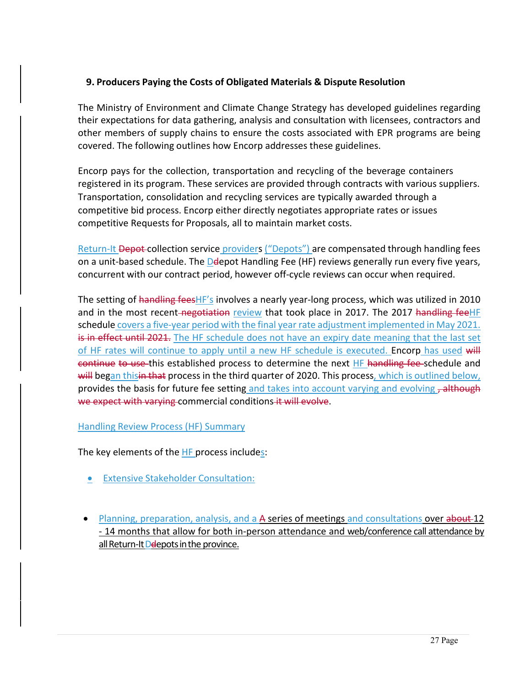## **9. Producers Paying the Costs of Obligated Materials & Dispute Resolution**

The Ministry of Environment and Climate Change Strategy has developed guidelines regarding their expectations for data gathering, analysis and consultation with licensees, contractors and other members of supply chains to ensure the costs associated with EPR programs are being covered. The following outlines how Encorp addresses these guidelines.

Encorp pays for the collection, transportation and recycling of the beverage containers registered in its program. These services are provided through contracts with various suppliers. Transportation, consolidation and recycling services are typically awarded through a competitive bid process. Encorp either directly negotiates appropriate rates or issues competitive Requests for Proposals, all to maintain market costs.

Return-It Depot-collection service providers ("Depots") are compensated through handling fees on a unit-based schedule. The Delepot Handling Fee (HF) reviews generally run every five years, concurrent with our contract period, however off-cycle reviews can occur when required.

The setting of handling fees HF's involves a nearly year-long process, which was utilized in 2010 and in the most recent-negotiation review that took place in 2017. The 2017 handling feeHF schedule covers a five-year period with the final year rate adjustment implemented in May 2021. is in effect until 2021. The HF schedule does not have an expiry date meaning that the last set of HF rates will continue to apply until a new HF schedule is executed. Encorp has used will continue to use this established process to determine the next HF handling fee-schedule and will began thisin that process in the third quarter of 2020. This process, which is outlined below, provides the basis for future fee setting and takes into account varying and evolving , although we expect with varying commercial conditions it will evolve.

## Handling Review Process (HF) Summary

The key elements of the  $HF$  process includes:

- **Extensive Stakeholder Consultation:**
- Planning, preparation, analysis, and a A series of meetings and consultations over about 12 - 14 months that allow for both in-person attendance and web/conference call attendance by all Return-It Deepots in the province.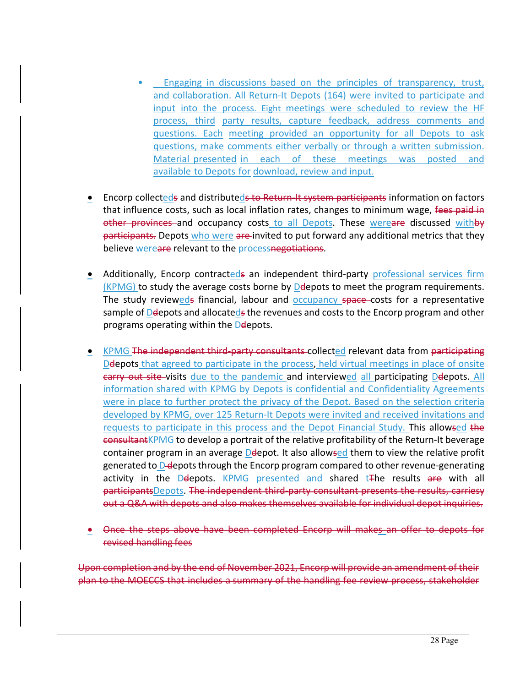- Engaging in discussions based on the principles of transparency, trust, and collaboration. All Return-It Depots (164) were invited to participate and input into the process. Eight meetings were scheduled to review the HF process, third party results, capture feedback, address comments and questions. Each meeting provided an opportunity for all Depots to ask questions, make comments either verbally or through a written submission. Material presented in each of these meetings was posted and available to Depots for download, review and input.
- **•** Encorp collecteds and distributeds to Return-It system participants information on factors that influence costs, such as local inflation rates, changes to minimum wage, fees paid in other provinces and occupancy costs to all Depots. These wereare discussed withby participants. Depots who were are invited to put forward any additional metrics that they believe wereare relevant to the processnegotiations.
- Additionally, Encorp contracteds an independent third-party professional services firm (KPMG) to study the average costs borne by Delepots to meet the program requirements. The study revieweds financial, labour and **occupancy space** costs for a representative sample of Delepots and allocateds the revenues and costs to the Encorp program and other programs operating within the Deepots.
- KPMG The independent third-party consultants collected relevant data from participating Deepots that agreed to participate in the process, held virtual meetings in place of onsite earry out site-visits due to the pandemic and interviewed all participating Delepots. All information shared with KPMG by Depots is confidential and Confidentiality Agreements were in place to further protect the privacy of the Depot. Based on the selection criteria developed by KPMG, over 125 Return-It Depots were invited and received invitations and requests to participate in this process and the Depot Financial Study. This allowsed the consultantKPMG to develop a portrait of the relative profitability of the Return-It beverage container program in an average Delepot. It also allowsed them to view the relative profit generated to D-depots through the Encorp program compared to other revenue-generating activity in the Delepots. KPMG presented and shared  $t$  The results are with all participantsDepots. The independent third-party consultant presents the results, carriesy out a Q&A with depots and also makes themselves available for individual depot inquiries.
- Once the steps above have been completed Encorp will makes an offer to depots for revised handling fees

Upon completion and by the end of November 2021, Encorp will provide an amendment of their plan to the MOECCS that includes a summary of the handling fee review process, stakeholder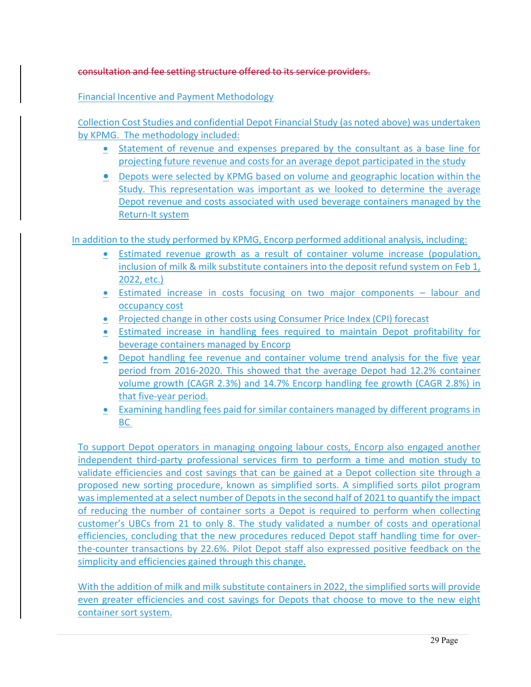## consultation and fee setting structure offered to its service providers.

Financial Incentive and Payment Methodology

Collection Cost Studies and confidential Depot Financial Study (as noted above) was undertaken by KPMG. The methodology included:

- Statement of revenue and expenses prepared by the consultant as a base line for projecting future revenue and costs for an average depot participated in the study
- Depots were selected by KPMG based on volume and geographic location within the Study. This representation was important as we looked to determine the average Depot revenue and costs associated with used beverage containers managed by the Return-It system

In addition to the study performed by KPMG, Encorp performed additional analysis, including:

- Estimated revenue growth as a result of container volume increase (population, inclusion of milk & milk substitute containers into the deposit refund system on Feb 1, 2022, etc.)
- Estimated increase in costs focusing on two major components labour and occupancy cost
- Projected change in other costs using Consumer Price Index (CPI) forecast
- Estimated increase in handling fees required to maintain Depot profitability for beverage containers managed by Encorp
- Depot handling fee revenue and container volume trend analysis for the five year period from 2016-2020. This showed that the average Depot had 12.2% container volume growth (CAGR 2.3%) and 14.7% Encorp handling fee growth (CAGR 2.8%) in that five-year period.
- Examining handling fees paid for similar containers managed by different programs in BC

To support Depot operators in managing ongoing labour costs, Encorp also engaged another independent third-party professional services firm to perform a time and motion study to validate efficiencies and cost savings that can be gained at a Depot collection site through a proposed new sorting procedure, known as simplified sorts. A simplified sorts pilot program was implemented at a select number of Depots in the second half of 2021 to quantify the impact of reducing the number of container sorts a Depot is required to perform when collecting customer's UBCs from 21 to only 8. The study validated a number of costs and operational efficiencies, concluding that the new procedures reduced Depot staff handling time for overthe-counter transactions by 22.6%. Pilot Depot staff also expressed positive feedback on the simplicity and efficiencies gained through this change.

With the addition of milk and milk substitute containers in 2022, the simplified sorts will provide even greater efficiencies and cost savings for Depots that choose to move to the new eight container sort system.